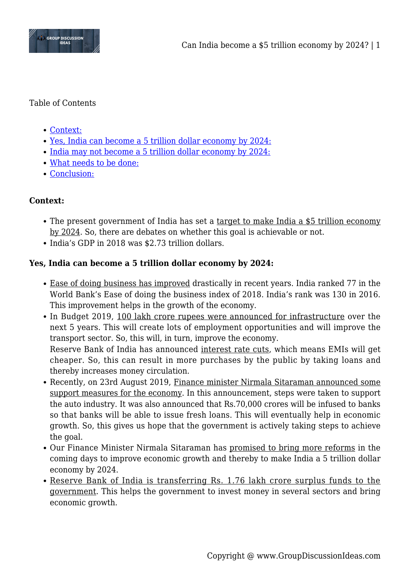

### Table of Contents

- [Context:](#page--1-0)
- [Yes, India can become a 5 trillion dollar economy by 2024:](#page--1-0)
- [India may not become a 5 trillion dollar economy by 2024:](#page--1-0)
- [What needs to be done:](#page--1-0)
- [Conclusion:](#page--1-0)

## **Context:**

- The present government of India has set a target to make India a \$5 trillion economy by 2024. So, there are debates on whether this goal is achievable or not.
- India's GDP in 2018 was \$2.73 trillion dollars.

# **Yes, India can become a 5 trillion dollar economy by 2024:**

- Ease of doing business has improved drastically in recent years. India ranked 77 in the World Bank's Ease of doing the business index of 2018. India's rank was 130 in 2016. This improvement helps in the growth of the economy.
- In Budget 2019, 100 lakh crore rupees were announced for infrastructure over the next 5 years. This will create lots of employment opportunities and will improve the transport sector. So, this will, in turn, improve the economy. Reserve Bank of India has announced interest rate cuts, which means EMIs will get cheaper. So, this can result in more purchases by the public by taking loans and thereby increases money circulation.
- Recently, on 23rd August 2019, Finance minister Nirmala Sitaraman announced some support measures for the economy. In this announcement, steps were taken to support the auto industry. It was also announced that Rs.70,000 crores will be infused to banks so that banks will be able to issue fresh loans. This will eventually help in economic growth. So, this gives us hope that the government is actively taking steps to achieve the goal.
- Our Finance Minister Nirmala Sitaraman has promised to bring more reforms in the coming days to improve economic growth and thereby to make India a 5 trillion dollar economy by 2024.
- Reserve Bank of India is transferring Rs. 1.76 lakh crore surplus funds to the government. This helps the government to invest money in several sectors and bring economic growth.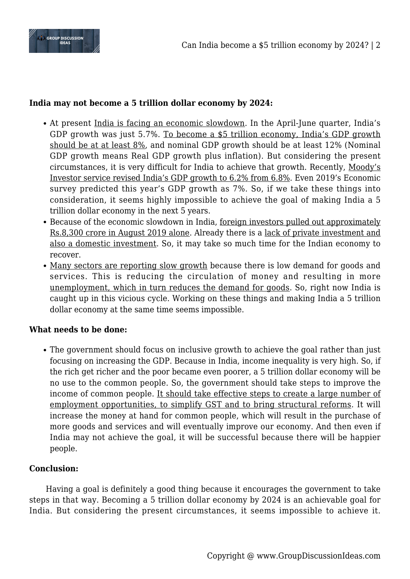

### **India may not become a 5 trillion dollar economy by 2024:**

- At present India is facing an economic slowdown. In the April-June quarter, India's GDP growth was just 5.7%. To become a \$5 trillion economy, India's GDP growth should be at at least 8%, and nominal GDP growth should be at least 12% (Nominal GDP growth means Real GDP growth plus inflation). But considering the present circumstances, it is very difficult for India to achieve that growth. Recently, Moody's Investor service revised India's GDP growth to 6.2% from 6.8%. Even 2019's Economic survey predicted this year's GDP growth as 7%. So, if we take these things into consideration, it seems highly impossible to achieve the goal of making India a 5 trillion dollar economy in the next 5 years.
- Because of the economic slowdown in India, foreign investors pulled out approximately Rs.8,300 crore in August 2019 alone. Already there is a lack of private investment and also a domestic investment. So, it may take so much time for the Indian economy to recover.
- Many sectors are reporting slow growth because there is low demand for goods and services. This is reducing the circulation of money and resulting in more unemployment, which in turn reduces the demand for goods. So, right now India is caught up in this vicious cycle. Working on these things and making India a 5 trillion dollar economy at the same time seems impossible.

#### **What needs to be done:**

The government should focus on inclusive growth to achieve the goal rather than just focusing on increasing the GDP. Because in India, income inequality is very high. So, if the rich get richer and the poor became even poorer, a 5 trillion dollar economy will be no use to the common people. So, the government should take steps to improve the income of common people. It should take effective steps to create a large number of employment opportunities, to simplify GST and to bring structural reforms. It will increase the money at hand for common people, which will result in the purchase of more goods and services and will eventually improve our economy. And then even if India may not achieve the goal, it will be successful because there will be happier people.

## **Conclusion:**

Having a goal is definitely a good thing because it encourages the government to take steps in that way. Becoming a 5 trillion dollar economy by 2024 is an achievable goal for India. But considering the present circumstances, it seems impossible to achieve it.